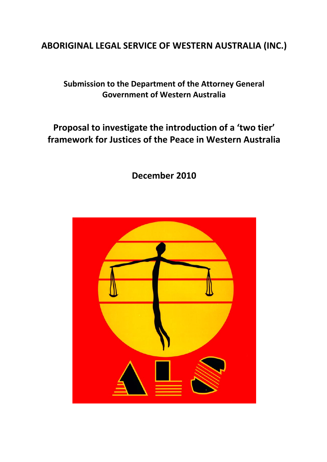# **ABORIGINAL LEGAL SERVICE OF WESTERN AUSTRALIA (INC.)**

# **Submission to the Department of the Attorney General Government of Western Australia**

# **Proposal to investigate the introduction of a 'two tier' framework for Justices of the Peace in Western Australia**

**December 2010**

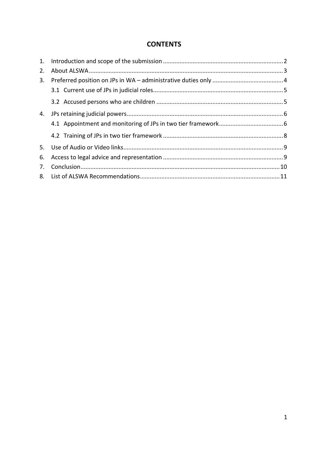### **CONTENTS**

| 2. |  |
|----|--|
| 3. |  |
|    |  |
|    |  |
| 4. |  |
|    |  |
|    |  |
|    |  |
| 6. |  |
| 7. |  |
|    |  |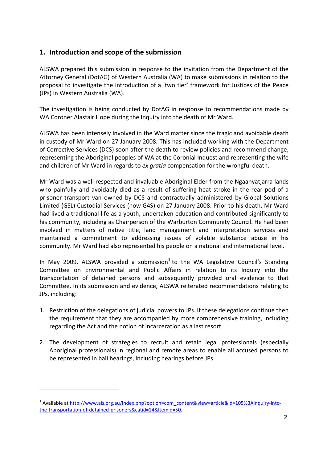## **1. Introduction and scope of the submission**

ALSWA prepared this submission in response to the invitation from the Department of the Attorney General (DotAG) of Western Australia (WA) to make submissions in relation to the proposal to investigate the introduction of a 'two tier' framework for Justices of the Peace (JPs) in Western Australia (WA).

The investigation is being conducted by DotAG in response to recommendations made by WA Coroner Alastair Hope during the Inquiry into the death of Mr Ward.

ALSWA has been intensely involved in the Ward matter since the tragic and avoidable death in custody of Mr Ward on 27 January 2008. This has included working with the Department of Corrective Services (DCS) soon after the death to review policies and recommend change, representing the Aboriginal peoples of WA at the Coronial Inquest and representing the wife and children of Mr Ward in regards to *ex gratia* compensation for the wrongful death.

Mr Ward was a well respected and invaluable Aboriginal Elder from the Ngaanyatjarra lands who painfully and avoidably died as a result of suffering heat stroke in the rear pod of a prisoner transport van owned by DCS and contractually administered by Global Solutions Limited (GSL) Custodial Services (now G4S) on 27 January 2008. Prior to his death, Mr Ward had lived a traditional life as a youth, undertaken education and contributed significantly to his community, including as Chairperson of the Warburton Community Council. He had been involved in matters of native title, land management and interpretation services and maintained a commitment to addressing issues of volatile substance abuse in his community. Mr Ward had also represented his people on a national and international level.

In May 2009, ALSWA provided a submission<sup>1</sup> to the WA Legislative Council's Standing Committee on Environmental and Public Affairs in relation to its Inquiry into the transportation of detained persons and subsequently provided oral evidence to that Committee. In its submission and evidence, ALSWA reiterated recommendations relating to JPs, including:

- 1. Restriction of the delegations of judicial powers to JPs. If these delegations continue then the requirement that they are accompanied by more comprehensive training, including regarding the Act and the notion of incarceration as a last resort.
- 2. The development of strategies to recruit and retain legal professionals (especially Aboriginal professionals) in regional and remote areas to enable all accused persons to be represented in bail hearings, including hearings before JPs.

<sup>&</sup>lt;sup>1</sup> Available at http://www.als.org.au/index.php?option=com\_content&view=article&id=105%3Ainquiry-intothe‐transportation‐of‐detained‐prisoners&catid=14&Itemid=50.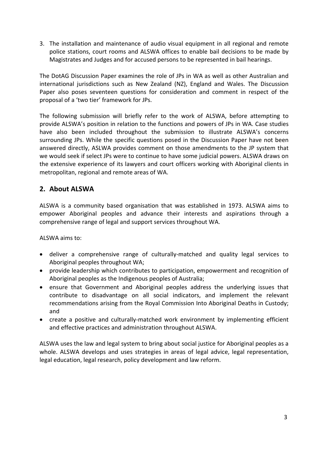3. The installation and maintenance of audio visual equipment in all regional and remote police stations, court rooms and ALSWA offices to enable bail decisions to be made by Magistrates and Judges and for accused persons to be represented in bail hearings.

The DotAG Discussion Paper examines the role of JPs in WA as well as other Australian and international jurisdictions such as New Zealand (NZ), England and Wales. The Discussion Paper also poses seventeen questions for consideration and comment in respect of the proposal of a 'two tier' framework for JPs.

The following submission will briefly refer to the work of ALSWA, before attempting to provide ALSWA's position in relation to the functions and powers of JPs in WA. Case studies have also been included throughout the submission to illustrate ALSWA's concerns surrounding JPs. While the specific questions posed in the Discussion Paper have not been answered directly, ASLWA provides comment on those amendments to the JP system that we would seek if select JPs were to continue to have some judicial powers. ALSWA draws on the extensive experience of its lawyers and court officers working with Aboriginal clients in metropolitan, regional and remote areas of WA.

#### **2. About ALSWA**

ALSWA is a community based organisation that was established in 1973. ALSWA aims to empower Aboriginal peoples and advance their interests and aspirations through a comprehensive range of legal and support services throughout WA.

#### ALSWA aims to:

- deliver a comprehensive range of culturally‐matched and quality legal services to Aboriginal peoples throughout WA;
- provide leadership which contributes to participation, empowerment and recognition of Aboriginal peoples as the Indigenous peoples of Australia;
- ensure that Government and Aboriginal peoples address the underlying issues that contribute to disadvantage on all social indicators, and implement the relevant recommendations arising from the Royal Commission Into Aboriginal Deaths in Custody; and
- create a positive and culturally‐matched work environment by implementing efficient and effective practices and administration throughout ALSWA.

ALSWA uses the law and legal system to bring about social justice for Aboriginal peoples as a whole. ALSWA develops and uses strategies in areas of legal advice, legal representation, legal education, legal research, policy development and law reform.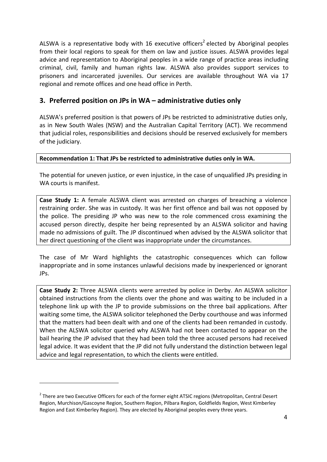ALSWA is a representative body with 16 executive officers<sup>2</sup> elected by Aboriginal peoples from their local regions to speak for them on law and justice issues. ALSWA provides legal advice and representation to Aboriginal peoples in a wide range of practice areas including criminal, civil, family and human rights law. ALSWA also provides support services to prisoners and incarcerated juveniles. Our services are available throughout WA via 17 regional and remote offices and one head office in Perth.

#### **3. Preferred position on JPs in WA – administrative duties only**

ALSWA's preferred position is that powers of JPs be restricted to administrative duties only, as in New South Wales (NSW) and the Australian Capital Territory (ACT). We recommend that judicial roles, responsibilities and decisions should be reserved exclusively for members of the judiciary.

#### **Recommendation 1: That JPs be restricted to administrative duties only in WA.**

The potential for uneven justice, or even injustice, in the case of unqualified JPs presiding in WA courts is manifest.

**Case Study 1:** A female ALSWA client was arrested on charges of breaching a violence restraining order. She was in custody. It was her first offence and bail was not opposed by the police. The presiding JP who was new to the role commenced cross examining the accused person directly, despite her being represented by an ALSWA solicitor and having made no admissions of guilt. The JP discontinued when advised by the ALSWA solicitor that her direct questioning of the client was inappropriate under the circumstances.

The case of Mr Ward highlights the catastrophic consequences which can follow inappropriate and in some instances unlawful decisions made by inexperienced or ignorant JPs.

**Case Study 2:** Three ALSWA clients were arrested by police in Derby. An ALSWA solicitor obtained instructions from the clients over the phone and was waiting to be included in a telephone link up with the JP to provide submissions on the three bail applications. After waiting some time, the ALSWA solicitor telephoned the Derby courthouse and was informed that the matters had been dealt with and one of the clients had been remanded in custody. When the ALSWA solicitor queried why ALSWA had not been contacted to appear on the bail hearing the JP advised that they had been told the three accused persons had received legal advice. It was evident that the JP did not fully understand the distinction between legal advice and legal representation, to which the clients were entitled.

<sup>&</sup>lt;sup>2</sup> There are two Executive Officers for each of the former eight ATSIC regions (Metropolitan, Central Desert Region, Murchison/Gascoyne Region, Southern Region, Pilbara Region, Goldfields Region, West Kimberley Region and East Kimberley Region). They are elected by Aboriginal peoples every three years.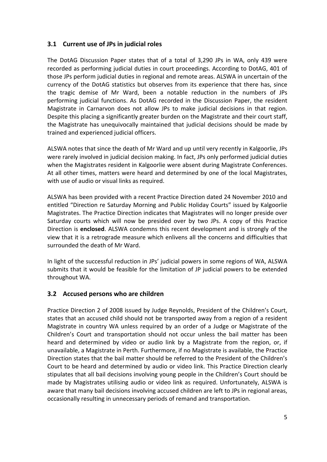#### **3.1 Current use of JPs in judicial roles**

The DotAG Discussion Paper states that of a total of 3,290 JPs in WA, only 439 were recorded as performing judicial duties in court proceedings. According to DotAG, 401 of those JPs perform judicial duties in regional and remote areas. ALSWA in uncertain of the currency of the DotAG statistics but observes from its experience that there has, since the tragic demise of Mr Ward, been a notable reduction in the numbers of JPs performing judicial functions. As DotAG recorded in the Discussion Paper, the resident Magistrate in Carnarvon does not allow JPs to make judicial decisions in that region. Despite this placing a significantly greater burden on the Magistrate and their court staff, the Magistrate has unequivocally maintained that judicial decisions should be made by trained and experienced judicial officers.

ALSWA notes that since the death of Mr Ward and up until very recently in Kalgoorlie, JPs were rarely involved in judicial decision making. In fact, JPs only performed judicial duties when the Magistrates resident in Kalgoorlie were absent during Magistrate Conferences. At all other times, matters were heard and determined by one of the local Magistrates, with use of audio or visual links as required.

ALSWA has been provided with a recent Practice Direction dated 24 November 2010 and entitled "Direction re Saturday Morning and Public Holiday Courts" issued by Kalgoorlie Magistrates. The Practice Direction indicates that Magistrates will no longer preside over Saturday courts which will now be presided over by two JPs. A copy of this Practice Direction is **enclosed**. ALSWA condemns this recent development and is strongly of the view that it is a retrograde measure which enlivens all the concerns and difficulties that surrounded the death of Mr Ward.

In light of the successful reduction in JPs' judicial powers in some regions of WA, ALSWA submits that it would be feasible for the limitation of JP judicial powers to be extended throughout WA.

#### **3.2 Accused persons who are children**

Practice Direction 2 of 2008 issued by Judge Reynolds, President of the Children's Court, states that an accused child should not be transported away from a region of a resident Magistrate in country WA unless required by an order of a Judge or Magistrate of the Children's Court and transportation should not occur unless the bail matter has been heard and determined by video or audio link by a Magistrate from the region, or, if unavailable, a Magistrate in Perth. Furthermore, if no Magistrate is available, the Practice Direction states that the bail matter should be referred to the President of the Children's Court to be heard and determined by audio or video link. This Practice Direction clearly stipulates that all bail decisions involving young people in the Children's Court should be made by Magistrates utilising audio or video link as required. Unfortunately, ALSWA is aware that many bail decisions involving accused children are left to JPs in regional areas, occasionally resulting in unnecessary periods of remand and transportation.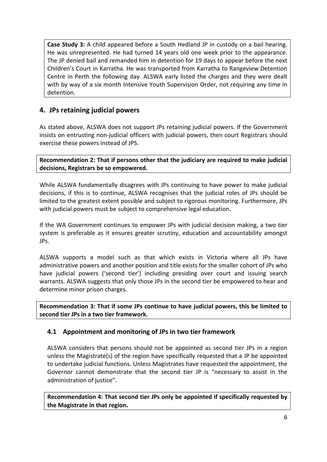**Case Study 3:** A child appeared before a South Hedland JP in custody on a bail hearing. He was unrepresented. He had turned 14 years old one week prior to the appearance. The JP denied bail and remanded him in detention for 19 days to appear before the next Children's Court in Karratha. He was transported from Karratha to Rangeview Detention Centre in Perth the following day. ALSWA early listed the charges and they were dealt with by way of a six month Intensive Youth Supervision Order, not requiring any time in detention.

### **4. JPs retaining judicial powers**

As stated above, ALSWA does not support JPs retaining judicial powers. If the Government insists on entrusting non‐judicial officers with judicial powers, then court Registrars should exercise these powers instead of JPS.

**Recommendation 2: That if persons other that the judiciary are required to make judicial decisions, Registrars be so empowered.**

While ALSWA fundamentally disagrees with JPs continuing to have power to make judicial decisions, if this is to continue, ALSWA recognises that the judicial roles of JPs should be limited to the greatest extent possible and subject to rigorous monitoring. Furthermore, JPs with judicial powers must be subject to comprehensive legal education.

If the WA Government continues to empower JPs with judicial decision making, a two tier system is preferable as it ensures greater scrutiny, education and accountability amongst JPs.

ALSWA supports a model such as that which exists in Victoria where all JPs have administrative powers and another position and title exists for the smaller cohort of JPs who have judicial powers ('second tier') including presiding over court and issuing search warrants. ALSWA suggests that only those JPs in the second tier be empowered to hear and determine minor prison charges.

**Recommendation 3: That if some JPs continue to have judicial powers, this be limited to second tier JPs in a two tier framework.**

#### **4.1 Appointment and monitoring of JPs in two tier framework**

ALSWA considers that persons should not be appointed as second tier JPs in a region unless the Magistrate(s) of the region have specifically requested that a JP be appointed to undertake judicial functions. Unless Magistrates have requested the appointment, the Governor cannot demonstrate that the second tier JP is "necessary to assist in the administration of justice".

**Recommendation 4: That second tier JPs only be appointed if specifically requested by the Magistrate in that region.**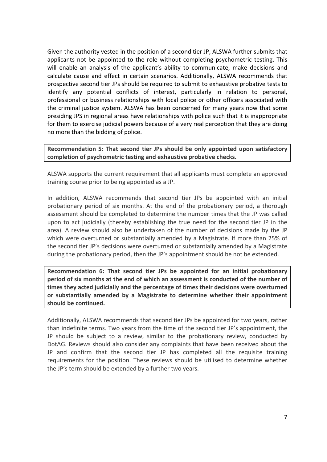Given the authority vested in the position of a second tier JP, ALSWA further submits that applicants not be appointed to the role without completing psychometric testing. This will enable an analysis of the applicant's ability to communicate, make decisions and calculate cause and effect in certain scenarios. Additionally, ALSWA recommends that prospective second tier JPs should be required to submit to exhaustive probative tests to identify any potential conflicts of interest, particularly in relation to personal, professional or business relationships with local police or other officers associated with the criminal justice system. ALSWA has been concerned for many years now that some presiding JPS in regional areas have relationships with police such that it is inappropriate for them to exercise judicial powers because of a very real perception that they are doing no more than the bidding of police.

**Recommendation 5: That second tier JPs should be only appointed upon satisfactory completion of psychometric testing and exhaustive probative checks.**

ALSWA supports the current requirement that all applicants must complete an approved training course prior to being appointed as a JP.

In addition, ALSWA recommends that second tier JPs be appointed with an initial probationary period of six months. At the end of the probationary period, a thorough assessment should be completed to determine the number times that the JP was called upon to act judicially (thereby establishing the true need for the second tier JP in the area). A review should also be undertaken of the number of decisions made by the JP which were overturned or substantially amended by a Magistrate. If more than 25% of the second tier JP's decisions were overturned or substantially amended by a Magistrate during the probationary period, then the JP's appointment should be not be extended.

**Recommendation 6: That second tier JPs be appointed for an initial probationary period of six months at the end of which an assessment is conducted of the number of times they acted judicially and the percentage of times their decisions were overturned or substantially amended by a Magistrate to determine whether their appointment should be continued.**

Additionally, ALSWA recommends that second tier JPs be appointed for two years, rather than indefinite terms. Two years from the time of the second tier JP's appointment, the JP should be subject to a review, similar to the probationary review, conducted by DotAG. Reviews should also consider any complaints that have been received about the JP and confirm that the second tier JP has completed all the requisite training requirements for the position. These reviews should be utilised to determine whether the JP's term should be extended by a further two years.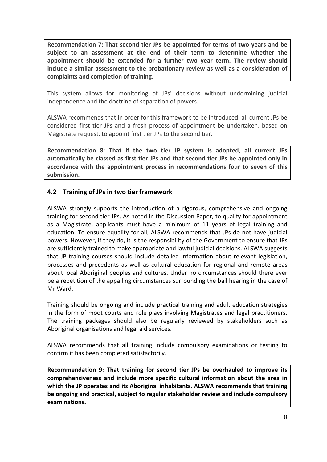**Recommendation 7: That second tier JPs be appointed for terms of two years and be subject to an assessment at the end of their term to determine whether the appointment should be extended for a further two year term. The review should include a similar assessment to the probationary review as well as a consideration of complaints and completion of training.**

This system allows for monitoring of JPs' decisions without undermining judicial independence and the doctrine of separation of powers.

ALSWA recommends that in order for this framework to be introduced, all current JPs be considered first tier JPs and a fresh process of appointment be undertaken, based on Magistrate request, to appoint first tier JPs to the second tier.

**Recommendation 8: That if the two tier JP system is adopted, all current JPs automatically be classed as first tier JPs and that second tier JPs be appointed only in accordance with the appointment process in recommendations four to seven of this submission.**

#### **4.2 Training of JPs in two tier framework**

ALSWA strongly supports the introduction of a rigorous, comprehensive and ongoing training for second tier JPs. As noted in the Discussion Paper, to qualify for appointment as a Magistrate, applicants must have a minimum of 11 years of legal training and education. To ensure equality for all, ALSWA recommends that JPs do not have judicial powers. However, if they do, it is the responsibility of the Government to ensure that JPs are sufficiently trained to make appropriate and lawful judicial decisions. ALSWA suggests that JP training courses should include detailed information about relevant legislation, processes and precedents as well as cultural education for regional and remote areas about local Aboriginal peoples and cultures. Under no circumstances should there ever be a repetition of the appalling circumstances surrounding the bail hearing in the case of Mr Ward.

Training should be ongoing and include practical training and adult education strategies in the form of moot courts and role plays involving Magistrates and legal practitioners. The training packages should also be regularly reviewed by stakeholders such as Aboriginal organisations and legal aid services.

ALSWA recommends that all training include compulsory examinations or testing to confirm it has been completed satisfactorily.

**Recommendation 9: That training for second tier JPs be overhauled to improve its comprehensiveness and include more specific cultural information about the area in which the JP operates and its Aboriginal inhabitants. ALSWA recommends that training be ongoing and practical, subject to regular stakeholder review and include compulsory examinations.**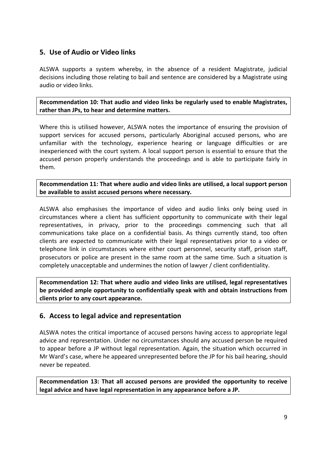### **5. Use of Audio or Video links**

ALSWA supports a system whereby, in the absence of a resident Magistrate, judicial decisions including those relating to bail and sentence are considered by a Magistrate using audio or video links.

**Recommendation 10: That audio and video links be regularly used to enable Magistrates, rather than JPs, to hear and determine matters.**

Where this is utilised however, ALSWA notes the importance of ensuring the provision of support services for accused persons, particularly Aboriginal accused persons, who are unfamiliar with the technology, experience hearing or language difficulties or are inexperienced with the court system. A local support person is essential to ensure that the accused person properly understands the proceedings and is able to participate fairly in them.

**Recommendation 11: That where audio and video links are utilised, a local support person be available to assist accused persons where necessary.**

ALSWA also emphasises the importance of video and audio links only being used in circumstances where a client has sufficient opportunity to communicate with their legal representatives, in privacy, prior to the proceedings commencing such that all communications take place on a confidential basis. As things currently stand, too often clients are expected to communicate with their legal representatives prior to a video or telephone link in circumstances where either court personnel, security staff, prison staff, prosecutors or police are present in the same room at the same time. Such a situation is completely unacceptable and undermines the notion of lawyer / client confidentiality.

**Recommendation 12: That where audio and video links are utilised, legal representatives be provided ample opportunity to confidentially speak with and obtain instructions from clients prior to any court appearance.** 

#### **6. Access to legal advice and representation**

ALSWA notes the critical importance of accused persons having access to appropriate legal advice and representation. Under no circumstances should any accused person be required to appear before a JP without legal representation. Again, the situation which occurred in Mr Ward's case, where he appeared unrepresented before the JP for his bail hearing, should never be repeated.

**Recommendation 13: That all accused persons are provided the opportunity to receive legal advice and have legal representation in any appearance before a JP.**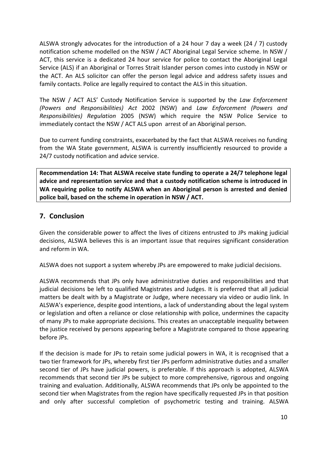ALSWA strongly advocates for the introduction of a 24 hour 7 day a week (24 / 7) custody notification scheme modelled on the NSW / ACT Aboriginal Legal Service scheme. In NSW / ACT, this service is a dedicated 24 hour service for police to contact the Aboriginal Legal Service (ALS) if an Aboriginal or Torres Strait Islander person comes into custody in NSW or the ACT. An ALS solicitor can offer the person legal advice and address safety issues and family contacts. Police are legally required to contact the ALS in this situation.

The NSW / ACT ALS' Custody Notification Service is supported by the *Law Enforcement (Powers and Responsibilities) Act* 2002 (NSW) and *Law Enforcement (Powers and Responsibilities) Regulation* 2005 (NSW) which require the NSW Police Service to immediately contact the NSW / ACT ALS upon arrest of an Aboriginal person.

Due to current funding constraints, exacerbated by the fact that ALSWA receives no funding from the WA State government, ALSWA is currently insufficiently resourced to provide a 24/7 custody notification and advice service.

**Recommendation 14: That ALSWA receive state funding to operate a 24/7 telephone legal advice and representation service and that a custody notification scheme is introduced in WA requiring police to notify ALSWA when an Aboriginal person is arrested and denied police bail, based on the scheme in operation in NSW / ACT.**

#### **7. Conclusion**

Given the considerable power to affect the lives of citizens entrusted to JPs making judicial decisions, ALSWA believes this is an important issue that requires significant consideration and reform in WA.

ALSWA does not support a system whereby JPs are empowered to make judicial decisions.

ALSWA recommends that JPs only have administrative duties and responsibilities and that judicial decisions be left to qualified Magistrates and Judges. It is preferred that all judicial matters be dealt with by a Magistrate or Judge, where necessary via video or audio link. In ALSWA's experience, despite good intentions, a lack of understanding about the legal system or legislation and often a reliance or close relationship with police, undermines the capacity of many JPs to make appropriate decisions. This creates an unacceptable inequality between the justice received by persons appearing before a Magistrate compared to those appearing before JPs.

If the decision is made for JPs to retain some judicial powers in WA, it is recognised that a two tier framework for JPs, whereby first tier JPs perform administrative duties and a smaller second tier of JPs have judicial powers, is preferable. If this approach is adopted, ALSWA recommends that second tier JPs be subject to more comprehensive, rigorous and ongoing training and evaluation. Additionally, ALSWA recommends that JPs only be appointed to the second tier when Magistrates from the region have specifically requested JPs in that position and only after successful completion of psychometric testing and training. ALSWA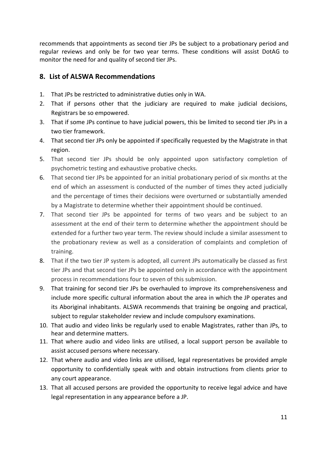recommends that appointments as second tier JPs be subject to a probationary period and regular reviews and only be for two year terms. These conditions will assist DotAG to monitor the need for and quality of second tier JPs.

## **8. List of ALSWA Recommendations**

- 1. That JPs be restricted to administrative duties only in WA.
- 2. That if persons other that the judiciary are required to make judicial decisions, Registrars be so empowered.
- 3. That if some JPs continue to have judicial powers, this be limited to second tier JPs in a two tier framework.
- 4. That second tier JPs only be appointed if specifically requested by the Magistrate in that region.
- 5. That second tier JPs should be only appointed upon satisfactory completion of psychometric testing and exhaustive probative checks.
- 6. That second tier JPs be appointed for an initial probationary period of six months at the end of which an assessment is conducted of the number of times they acted judicially and the percentage of times their decisions were overturned or substantially amended by a Magistrate to determine whether their appointment should be continued.
- 7. That second tier JPs be appointed for terms of two years and be subject to an assessment at the end of their term to determine whether the appointment should be extended for a further two year term. The review should include a similar assessment to the probationary review as well as a consideration of complaints and completion of training.
- 8. That if the two tier JP system is adopted, all current JPs automatically be classed as first tier JPs and that second tier JPs be appointed only in accordance with the appointment process in recommendations four to seven of this submission.
- 9. That training for second tier JPs be overhauled to improve its comprehensiveness and include more specific cultural information about the area in which the JP operates and its Aboriginal inhabitants. ALSWA recommends that training be ongoing and practical, subject to regular stakeholder review and include compulsory examinations.
- 10. That audio and video links be regularly used to enable Magistrates, rather than JPs, to hear and determine matters.
- 11. That where audio and video links are utilised, a local support person be available to assist accused persons where necessary.
- 12. That where audio and video links are utilised, legal representatives be provided ample opportunity to confidentially speak with and obtain instructions from clients prior to any court appearance.
- 13. That all accused persons are provided the opportunity to receive legal advice and have legal representation in any appearance before a JP.